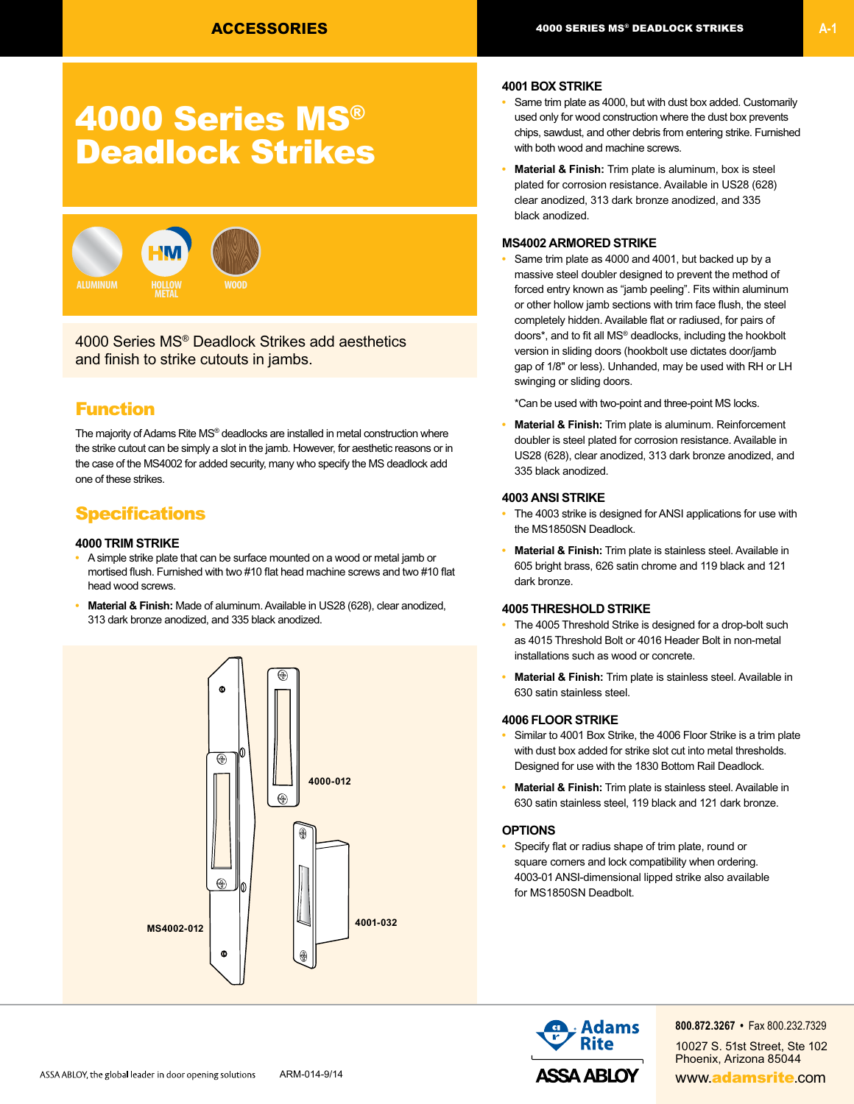# 4000 Series MS® Deadlock Strikes



4000 Series MS® Deadlock Strikes add aesthetics and finish to strike cutouts in jambs.

### Function

The majority of Adams Rite MS® deadlocks are installed in metal construction where the strike cutout can be simply a slot in the jamb. However, for aesthetic reasons or in the case of the MS4002 for added security, many who specify the MS deadlock add one of these strikes.

### **Specifications**

#### **4000 TRIM STRIKE**

- A simple strike plate that can be surface mounted on a wood or metal jamb or mortised flush. Furnished with two #10 flat head machine screws and two #10 flat head wood screws.
- **Material & Finish:** Made of aluminum. Available in US28 (628), clear anodized, 313 dark bronze anodized, and 335 black anodized.



#### **4001 BOX STRIKE**

- Same trim plate as 4000, but with dust box added. Customarily used only for wood construction where the dust box prevents chips, sawdust, and other debris from entering strike. Furnished with both wood and machine screws.
- **Material & Finish:** Trim plate is aluminum, box is steel plated for corrosion resistance. Available in US28 (628) clear anodized, 313 dark bronze anodized, and 335 black anodized.

#### **MS4002 ARMORED STRIKE**

**•** Same trim plate as 4000 and 4001, but backed up by a massive steel doubler designed to prevent the method of forced entry known as "jamb peeling". Fits within aluminum or other hollow jamb sections with trim face flush, the steel completely hidden. Available flat or radiused, for pairs of doors\*, and to fit all MS® deadlocks, including the hookbolt version in sliding doors (hookbolt use dictates door/jamb gap of 1/8" or less). Unhanded, may be used with RH or LH swinging or sliding doors.

\*Can be used with two-point and three-point MS locks.

**• Material & Finish:** Trim plate is aluminum. Reinforcement doubler is steel plated for corrosion resistance. Available in US28 (628), clear anodized, 313 dark bronze anodized, and 335 black anodized.

#### **4003 ANSI STRIKE**

- The 4003 strike is designed for ANSI applications for use with the MS1850SN Deadlock.
- **Material & Finish:** Trim plate is stainless steel. Available in 605 bright brass, 626 satin chrome and 119 black and 121 dark bronze.

#### **4005 THRESHOLD STRIKE**

- The 4005 Threshold Strike is designed for a drop-bolt such as 4015 Threshold Bolt or 4016 Header Bolt in non-metal installations such as wood or concrete.
- **Material & Finish:** Trim plate is stainless steel. Available in 630 satin stainless steel.

#### **4006 FLOOR STRIKE**

- Similar to 4001 Box Strike, the 4006 Floor Strike is a trim plate with dust box added for strike slot cut into metal thresholds. Designed for use with the 1830 Bottom Rail Deadlock.
- **Material & Finish:** Trim plate is stainless steel. Available in 630 satin stainless steel, 119 black and 121 dark bronze.

#### **OPTIONS**

**•** Specify flat or radius shape of trim plate, round or square corners and lock compatibility when ordering. 4003-01 ANSI-dimensional lipped strike also available for MS1850SN Deadbolt.



**800.872.3267 •** Fax 800.232.7329 10027 S. 51st Street, Ste 102 Phoenix, Arizona 85044 ARM-014-9/14 **ARM-014-9/14** www.**adamsrite.com**